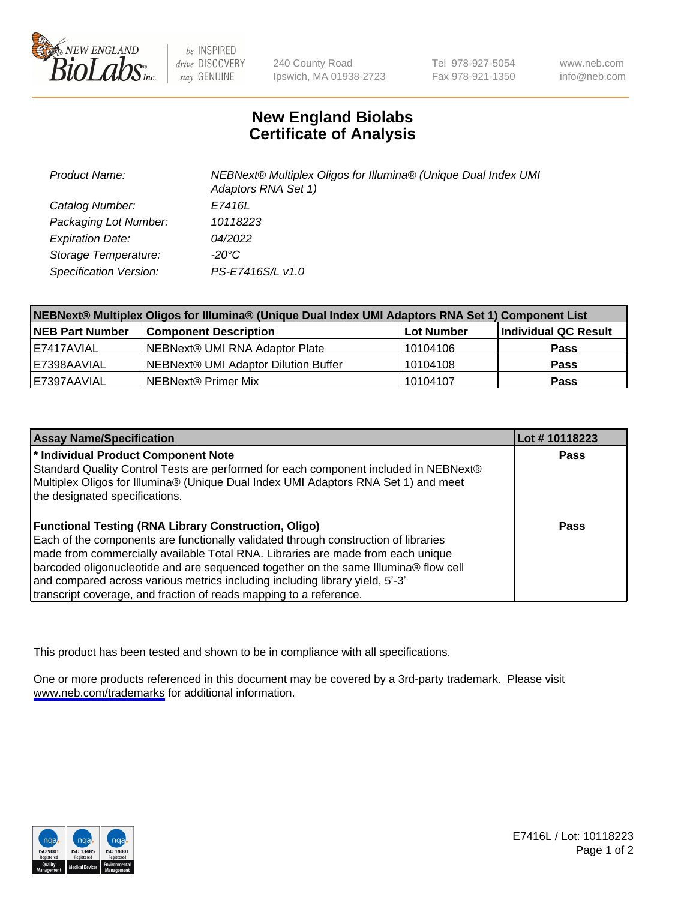

be INSPIRED drive DISCOVERY stay GENUINE

240 County Road Ipswich, MA 01938-2723 Tel 978-927-5054 Fax 978-921-1350

www.neb.com info@neb.com

## **New England Biolabs Certificate of Analysis**

| <b>Product Name:</b>          | NEBNext® Multiplex Oligos for Illumina® (Unique Dual Index UMI<br>Adaptors RNA Set 1) |
|-------------------------------|---------------------------------------------------------------------------------------|
| Catalog Number:               | E7416L                                                                                |
| Packaging Lot Number:         | 10118223                                                                              |
| <b>Expiration Date:</b>       | <i>04/2022</i>                                                                        |
| Storage Temperature:          | -20°C                                                                                 |
| <b>Specification Version:</b> | PS-E7416S/L v1.0                                                                      |

| NEBNext® Multiplex Oligos for Illumina® (Unique Dual Index UMI Adaptors RNA Set 1) Component List |                                      |            |                      |  |
|---------------------------------------------------------------------------------------------------|--------------------------------------|------------|----------------------|--|
| <b>NEB Part Number</b>                                                                            | <b>Component Description</b>         | Lot Number | Individual QC Result |  |
| l E7417AVIAL                                                                                      | NEBNext® UMI RNA Adaptor Plate       | 10104106   | <b>Pass</b>          |  |
| E7398AAVIAL                                                                                       | NEBNext® UMI Adaptor Dilution Buffer | 10104108   | <b>Pass</b>          |  |
| E7397AAVIAL                                                                                       | NEBNext® Primer Mix                  | 10104107   | Pass                 |  |

| <b>Assay Name/Specification</b>                                                                                                                                                                                                                                                                                                                                                                                                                                                    | Lot #10118223 |
|------------------------------------------------------------------------------------------------------------------------------------------------------------------------------------------------------------------------------------------------------------------------------------------------------------------------------------------------------------------------------------------------------------------------------------------------------------------------------------|---------------|
| * Individual Product Component Note<br>Standard Quality Control Tests are performed for each component included in NEBNext®<br>Multiplex Oligos for Illumina® (Unique Dual Index UMI Adaptors RNA Set 1) and meet<br>the designated specifications.                                                                                                                                                                                                                                | Pass          |
| <b>Functional Testing (RNA Library Construction, Oligo)</b><br>Each of the components are functionally validated through construction of libraries<br>made from commercially available Total RNA. Libraries are made from each unique<br>barcoded oligonucleotide and are sequenced together on the same Illumina® flow cell<br>and compared across various metrics including including library yield, 5'-3'<br>transcript coverage, and fraction of reads mapping to a reference. | Pass          |

This product has been tested and shown to be in compliance with all specifications.

One or more products referenced in this document may be covered by a 3rd-party trademark. Please visit <www.neb.com/trademarks>for additional information.